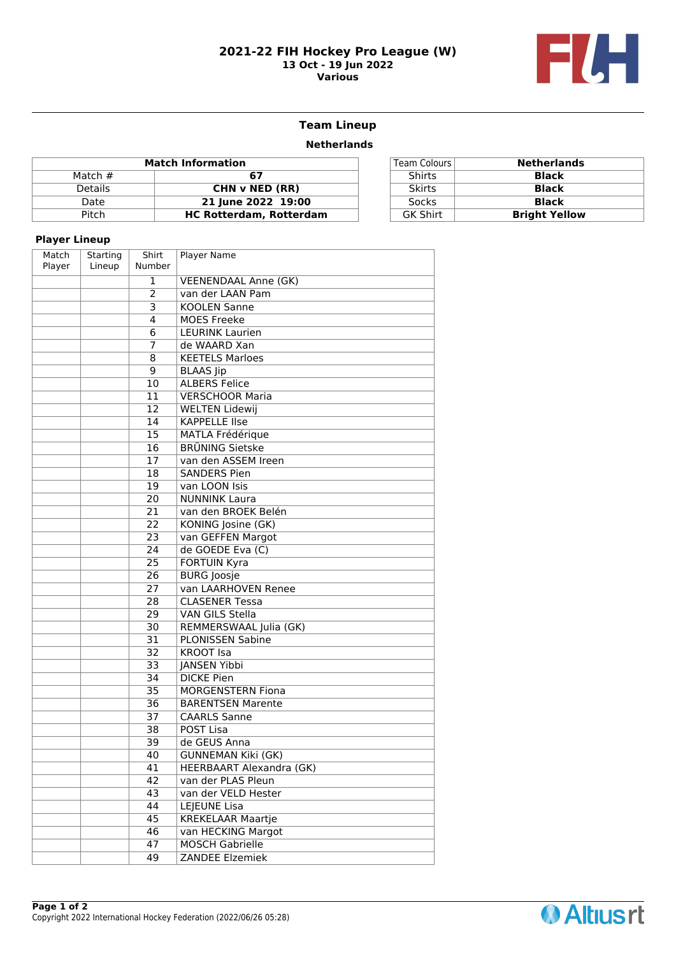#### **2021-22 FIH Hockey Pro League (W) 13 Oct - 19 Jun 2022 Various**



# **Team Lineup**

### **Netherlands**

| <b>Match Information</b> |                                |  | Team Colours    | <b>Netherlands</b>   |
|--------------------------|--------------------------------|--|-----------------|----------------------|
| Match $#$                |                                |  | <b>Shirts</b>   | <b>Black</b>         |
| <b>Details</b>           | CHN v NED (RR)                 |  | <b>Skirts</b>   | Black                |
| Date                     | 21 June 2022 19:00             |  | <b>Socks</b>    | <b>Black</b>         |
| Pitch                    | <b>HC Rotterdam, Rotterdam</b> |  | <b>GK Shirt</b> | <b>Bright Yellow</b> |
|                          |                                |  |                 |                      |

| Team Colours    | <b>Netherlands</b>   |
|-----------------|----------------------|
| Shirts          | <b>Black</b>         |
| <b>Skirts</b>   | <b>Black</b>         |
| <b>Socks</b>    | <b>Black</b>         |
| <b>GK Shirt</b> | <b>Bright Yellow</b> |

## **Player Lineup**

| Match<br>Player | Starting<br>Lineup | Shirt<br>Number | Player Name                     |
|-----------------|--------------------|-----------------|---------------------------------|
|                 |                    | 1               | <b>VEENENDAAL Anne (GK)</b>     |
|                 |                    | $\overline{2}$  | van der LAAN Pam                |
|                 |                    | 3               | <b>KOOLEN Sanne</b>             |
|                 |                    | 4               | <b>MOES Freeke</b>              |
|                 |                    | 6               | <b>LEURINK Laurien</b>          |
|                 |                    | 7               | de WAARD Xan                    |
|                 |                    | 8               | <b>KEETELS Marloes</b>          |
|                 |                    | 9               | <b>BLAAS</b> Jip                |
|                 |                    | 10              | <b>ALBERS Felice</b>            |
|                 |                    | 11              | <b>VERSCHOOR Maria</b>          |
|                 |                    | 12              | <b>WELTEN Lidewij</b>           |
|                 |                    | 14              | <b>KAPPELLE IIse</b>            |
|                 |                    | $\overline{15}$ | <b>MATLA Frédérique</b>         |
|                 |                    | 16              | <b>BRÜNING Sietske</b>          |
|                 |                    | 17              | van den ASSEM Ireen             |
|                 |                    | 18              | <b>SANDERS Pien</b>             |
|                 |                    | 19              | van LOON Isis                   |
|                 |                    | 20              | <b>NUNNINK Laura</b>            |
|                 |                    | 21              | van den BROEK Belén             |
|                 |                    | 22              | KONING Josine (GK)              |
|                 |                    | 23              | van GEFFEN Margot               |
|                 |                    | 24              | de GOEDE Eva (C)                |
|                 |                    | 25              | <b>FORTUIN Kyra</b>             |
|                 |                    | 26              | <b>BURG Joosje</b>              |
|                 |                    | 27              | van LAARHOVEN Renee             |
|                 |                    | 28              | <b>CLASENER Tessa</b>           |
|                 |                    | 29              | <b>VAN GILS Stella</b>          |
|                 |                    | 30              | REMMERSWAAL Julia (GK)          |
|                 |                    | 31              | <b>PLONISSEN Sabine</b>         |
|                 |                    | 32              | <b>KROOT Isa</b>                |
|                 |                    | 33              | JANSEN Yibbi                    |
|                 |                    | 34              | <b>DICKE Pien</b>               |
|                 |                    | $\overline{35}$ | <b>MORGENSTERN Fiona</b>        |
|                 |                    | 36              | <b>BARENTSEN Marente</b>        |
|                 |                    | 37              | <b>CAARLS Sanne</b>             |
|                 |                    | 38              | POST Lisa                       |
|                 |                    | 39              | de GEUS Anna                    |
|                 |                    | 40              | <b>GUNNEMAN Kiki (GK)</b>       |
|                 |                    | $\overline{41}$ | <b>HEERBAART Alexandra (GK)</b> |
|                 |                    | $\overline{42}$ | van der PLAS Pleun              |
|                 |                    | 43              | van der VELD Hester             |
|                 |                    | 44              | <b>LEJEUNE Lisa</b>             |
|                 |                    | 45              | KREKELAAR Maartje               |
|                 |                    | 46              | van HECKING Margot              |
|                 |                    | 47              | <b>MOSCH Gabrielle</b>          |
|                 |                    | 49              | <b>ZANDEE Elzemiek</b>          |